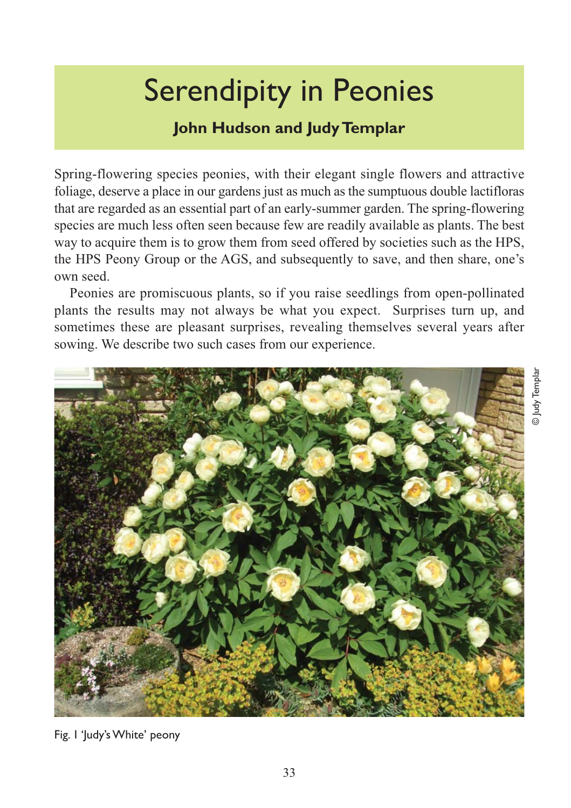# Serendipity in Peonies

## **John Hudson and Judy Templar**

Spring-flowering species peonies, with their elegant single flowers and attractive foliage, deserve a place in our gardens just as much as the sumptuous double lactifloras that are regarded as an essential part of an early-summer garden. The spring-flowering species are much less often seen because few are readily available as plants. The best way to acquire them is to grow them from seed offered by societies such as the HPS, the HPS Peony Group or the AGS, and subsequently to save, and then share, one's own seed.

Peonies are promiscuous plants, so if you raise seedlings from open-pollinated plants the results may not always be what you expect. Surprises turn up, and sometimes these are pleasant surprises, revealing themselves several years after sowing. We describe two such cases from our experience.



Fig. 1 'Judy's White' peony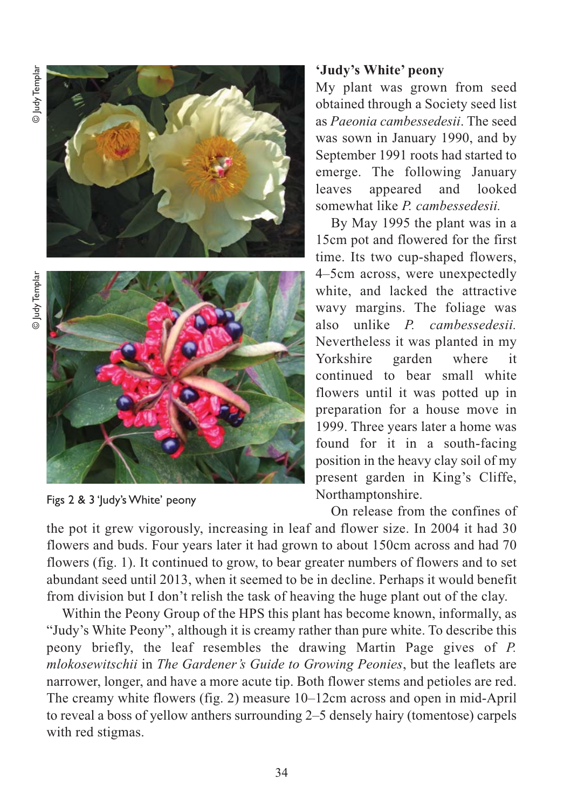© Judy Templar © ludy Templar





Figs 2 & 3 'Judy's White' peony

### **'Judy's White' peony**

My plant was grown from seed obtained through a Society seed list as *Paeonia cambessedesii*. The seed was sown in January 1990, and by September 1991 roots had started to emerge. The following January leaves appeared and looked somewhat like *P. cambessedesii.*

By May 1995 the plant was in a 15cm pot and flowered for the first time. Its two cup-shaped flowers, 4–5cm across, were unexpectedly white, and lacked the attractive wavy margins. The foliage was also unlike *P. cambessedesii.* Nevertheless it was planted in my Yorkshire garden where it continued to bear small white flowers until it was potted up in preparation for a house move in 1999. Three years later a home was found for it in a south-facing position in the heavy clay soil of my present garden in King's Cliffe, Northamptonshire.

On release from the confines of

the pot it grew vigorously, increasing in leaf and flower size. In 2004 it had 30 flowers and buds. Four years later it had grown to about 150cm across and had 70 flowers (fig. 1). It continued to grow, to bear greater numbers of flowers and to set abundant seed until 2013, when it seemed to be in decline. Perhaps it would benefit from division but I don't relish the task of heaving the huge plant out of the clay.

Within the Peony Group of the HPS this plant has become known, informally, as "Judy's White Peony", although it is creamy rather than pure white. To describe this peony briefly, the leaf resembles the drawing Martin Page gives of *P. mlokosewitschii* in *The Gardener's Guide to Growing Peonies*, but the leaflets are narrower, longer, and have a more acute tip. Both flower stems and petioles are red. The creamy white flowers (fig. 2) measure 10–12cm across and open in mid-April to reveal a boss of yellow anthers surrounding 2–5 densely hairy (tomentose) carpels with red stigmas.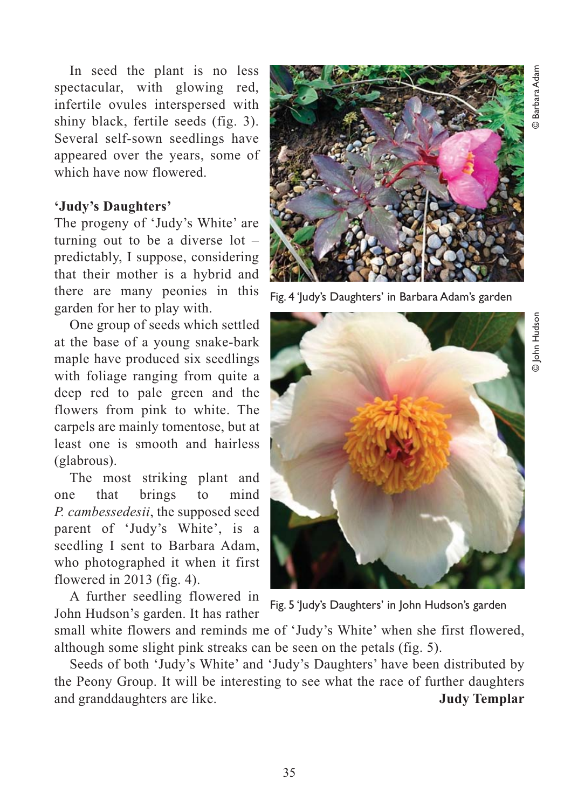In seed the plant is no less spectacular, with glowing red, infertile ovules interspersed with shiny black, fertile seeds (fig. 3). Several self-sown seedlings have appeared over the years, some of which have now flowered.

#### **'Judy's Daughters'**

The progeny of 'Judy's White' are turning out to be a diverse lot – predictably, I suppose, considering that their mother is a hybrid and there are many peonies in this garden for her to play with.

One group of seeds which settled at the base of a young snake-bark maple have produced six seedlings with foliage ranging from quite a deep red to pale green and the flowers from pink to white. The carpels are mainly tomentose, but at least one is smooth and hairless (glabrous).

The most striking plant and one that brings to mind *P. cambessedesii*, the supposed seed parent of 'Judy's White', is a seedling I sent to Barbara Adam, who photographed it when it first flowered in 2013 (fig. 4).

A further seedling flowered in John Hudson's garden. It has rather



Fig. 4 'Judy's Daughters' in Barbara Adam's garden



Fig. 5 'Judy's Daughters' in John Hudson's garden

small white flowers and reminds me of 'Judy's White' when she first flowered, although some slight pink streaks can be seen on the petals (fig. 5).

Seeds of both 'Judy's White' and 'Judy's Daughters' have been distributed by the Peony Group. It will be interesting to see what the race of further daughters and granddaughters are like. **Judy Templar**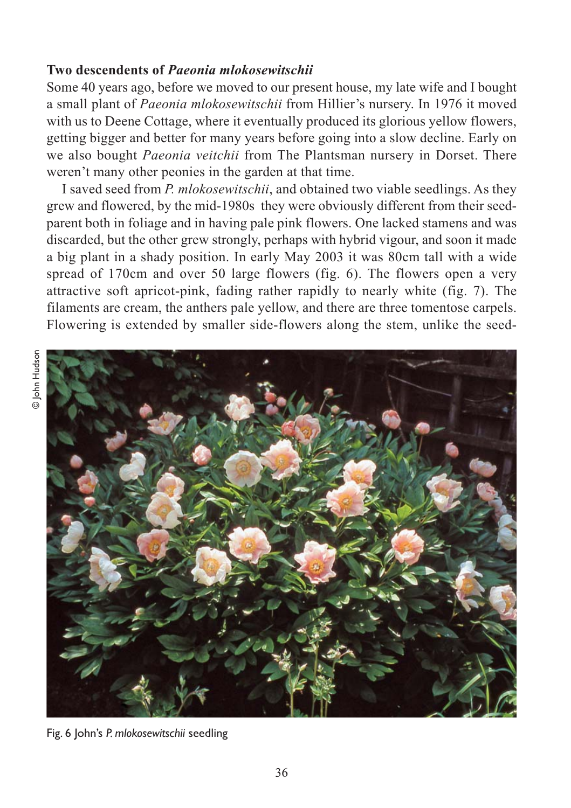#### **Two descendents of** *Paeonia mlokosewitschii*

Some 40 years ago, before we moved to our present house, my late wife and I bought a small plant of *Paeonia mlokosewitschii* from Hillier's nursery. In 1976 it moved with us to Deene Cottage, where it eventually produced its glorious yellow flowers, getting bigger and better for many years before going into a slow decline. Early on we also bought *Paeonia veitchii* from The Plantsman nursery in Dorset. There weren't many other peonies in the garden at that time.

I saved seed from *P. mlokosewitschii*, and obtained two viable seedlings. As they grew and flowered, by the mid-1980s they were obviously different from their seedparent both in foliage and in having pale pink flowers. One lacked stamens and was discarded, but the other grew strongly, perhaps with hybrid vigour, and soon it made a big plant in a shady position. In early May 2003 it was 80cm tall with a wide spread of 170cm and over 50 large flowers (fig. 6). The flowers open a very attractive soft apricot-pink, fading rather rapidly to nearly white (fig. 7). The filaments are cream, the anthers pale yellow, and there are three tomentose carpels. Flowering is extended by smaller side-flowers along the stem, unlike the seed-



Fig. 6 John's *P. mlokosewitschii* seedling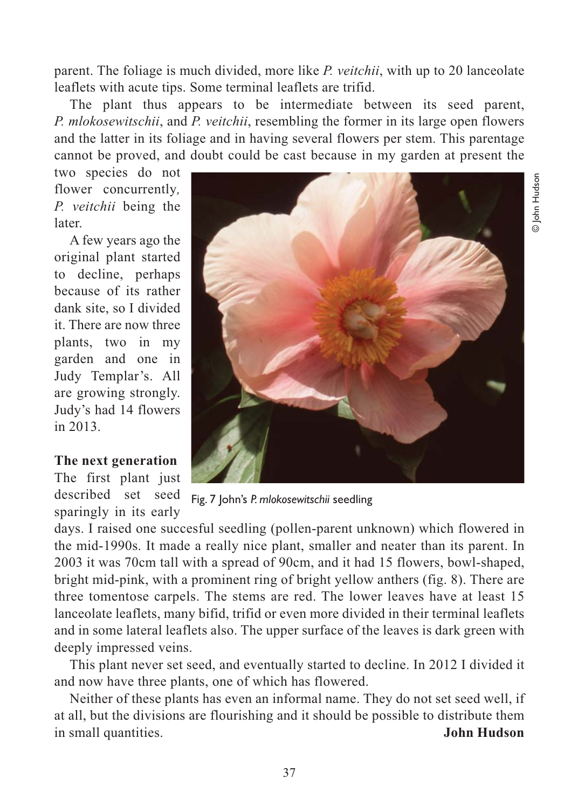© John Hudson D John Hudsor

parent. The foliage is much divided, more like *P. veitchii*, with up to 20 lanceolate leaflets with acute tips. Some terminal leaflets are trifid.

The plant thus appears to be intermediate between its seed parent, *P. mlokosewitschii*, and *P. veitchii*, resembling the former in its large open flowers and the latter in its foliage and in having several flowers per stem. This parentage cannot be proved, and doubt could be cast because in my garden at present the

two species do not flower concurrently*, P. veitchii* being the later.

A few years ago the original plant started to decline, perhaps because of its rather dank site, so I divided it. There are now three plants, two in my garden and one in Judy Templar's. All are growing strongly. Judy's had 14 flowers in 2013.

#### **The next generation**

The first plant just described set seed sparingly in its early



Fig. 7 John's *P. mlokosewitschii* seedling

days. I raised one succesful seedling (pollen-parent unknown) which flowered in the mid-1990s. It made a really nice plant, smaller and neater than its parent. In 2003 it was 70cm tall with a spread of 90cm, and it had 15 flowers, bowl-shaped, bright mid-pink, with a prominent ring of bright yellow anthers (fig. 8). There are three tomentose carpels. The stems are red. The lower leaves have at least 15 lanceolate leaflets, many bifid, trifid or even more divided in their terminal leaflets and in some lateral leaflets also. The upper surface of the leaves is dark green with deeply impressed veins.

This plant never set seed, and eventually started to decline. In 2012 I divided it and now have three plants, one of which has flowered.

Neither of these plants has even an informal name. They do not set seed well, if at all, but the divisions are flourishing and it should be possible to distribute them in small quantities. **John Hudson**